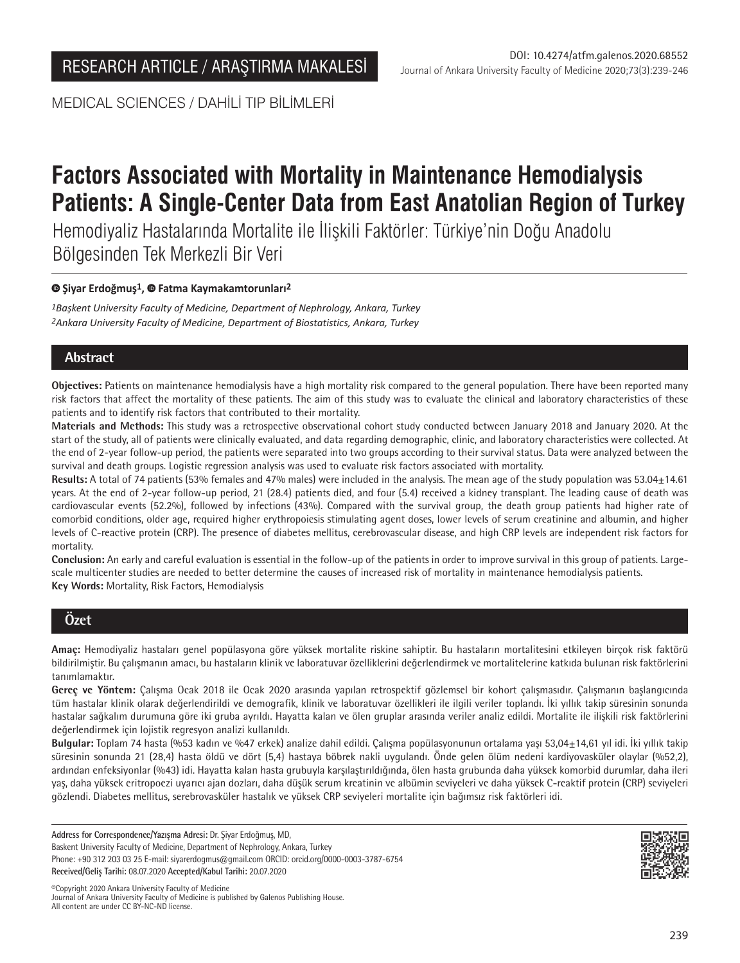MEDICAL SCIENCES / DAHİLİ TIP BİLİMLERİ

# **Factors Associated with Mortality in Maintenance Hemodialysis Patients: A Single-Center Data from East Anatolian Region of Turkey**

Hemodiyaliz Hastalarında Mortalite ile İlişkili Faktörler: Türkiye'nin Doğu Anadolu Bölgesinden Tek Merkezli Bir Veri

## **Şiyar Erdoğmuş1,Fatma Kaymakamtorunları2**

*1Başkent University Faculty of Medicine, Department of Nephrology, Ankara, Turkey 2Ankara University Faculty of Medicine, Department of Biostatistics, Ankara, Turkey*

## **Abstract**

**Objectives:** Patients on maintenance hemodialysis have a high mortality risk compared to the general population. There have been reported many risk factors that affect the mortality of these patients. The aim of this study was to evaluate the clinical and laboratory characteristics of these patients and to identify risk factors that contributed to their mortality.

**Materials and Methods:** This study was a retrospective observational cohort study conducted between January 2018 and January 2020. At the start of the study, all of patients were clinically evaluated, and data regarding demographic, clinic, and laboratory characteristics were collected. At the end of 2-year follow-up period, the patients were separated into two groups according to their survival status. Data were analyzed between the survival and death groups. Logistic regression analysis was used to evaluate risk factors associated with mortality.

**Results:** A total of 74 patients (53% females and 47% males) were included in the analysis. The mean age of the study population was 53.04±14.61 years. At the end of 2-year follow-up period, 21 (28.4) patients died, and four (5.4) received a kidney transplant. The leading cause of death was cardiovascular events (52.2%), followed by infections (43%). Compared with the survival group, the death group patients had higher rate of comorbid conditions, older age, required higher erythropoiesis stimulating agent doses, lower levels of serum creatinine and albumin, and higher levels of C-reactive protein (CRP). The presence of diabetes mellitus, cerebrovascular disease, and high CRP levels are independent risk factors for mortality.

**Conclusion:** An early and careful evaluation is essential in the follow-up of the patients in order to improve survival in this group of patients. Largescale multicenter studies are needed to better determine the causes of increased risk of mortality in maintenance hemodialysis patients. **Key Words:** Mortality, Risk Factors, Hemodialysis

# **Özet**

**Amaç:** Hemodiyaliz hastaları genel popülasyona göre yüksek mortalite riskine sahiptir. Bu hastaların mortalitesini etkileyen birçok risk faktörü bildirilmiştir. Bu çalışmanın amacı, bu hastaların klinik ve laboratuvar özelliklerini değerlendirmek ve mortalitelerine katkıda bulunan risk faktörlerini tanımlamaktır.

**Gereç ve Yöntem:** Çalışma Ocak 2018 ile Ocak 2020 arasında yapılan retrospektif gözlemsel bir kohort çalışmasıdır. Çalışmanın başlangıcında tüm hastalar klinik olarak değerlendirildi ve demografik, klinik ve laboratuvar özellikleri ile ilgili veriler toplandı. İki yıllık takip süresinin sonunda hastalar sağkalım durumuna göre iki gruba ayrıldı. Hayatta kalan ve ölen gruplar arasında veriler analiz edildi. Mortalite ile ilişkili risk faktörlerini değerlendirmek için lojistik regresyon analizi kullanıldı.

**Bulgular:** Toplam 74 hasta (%53 kadın ve %47 erkek) analize dahil edildi. Çalışma popülasyonunun ortalama yaşı 53,04±14,61 yıl idi. İki yıllık takip süresinin sonunda 21 (28,4) hasta öldü ve dört (5,4) hastaya böbrek nakli uygulandı. Önde gelen ölüm nedeni kardiyovasküler olaylar (%52,2), ardından enfeksiyonlar (%43) idi. Hayatta kalan hasta grubuyla karşılaştırıldığında, ölen hasta grubunda daha yüksek komorbid durumlar, daha ileri yaş, daha yüksek eritropoezi uyarıcı ajan dozları, daha düşük serum kreatinin ve albümin seviyeleri ve daha yüksek C-reaktif protein (CRP) seviyeleri gözlendi. Diabetes mellitus, serebrovasküler hastalık ve yüksek CRP seviyeleri mortalite için bağımsız risk faktörleri idi.

**Address for Correspondence/Yazışma Adresi:** Dr. Şiyar Erdoğmuş, MD, Baskent University Faculty of Medicine, Department of Nephrology, Ankara, Turkey Phone: +90 312 203 03 25 E-mail: siyarerdogmus@gmail.com ORCID: orcid.org/0000-0003-3787-6754 **Received/Geliş Tarihi:** 08.07.2020 **Accepted/Kabul Tarihi:** 20.07.2020

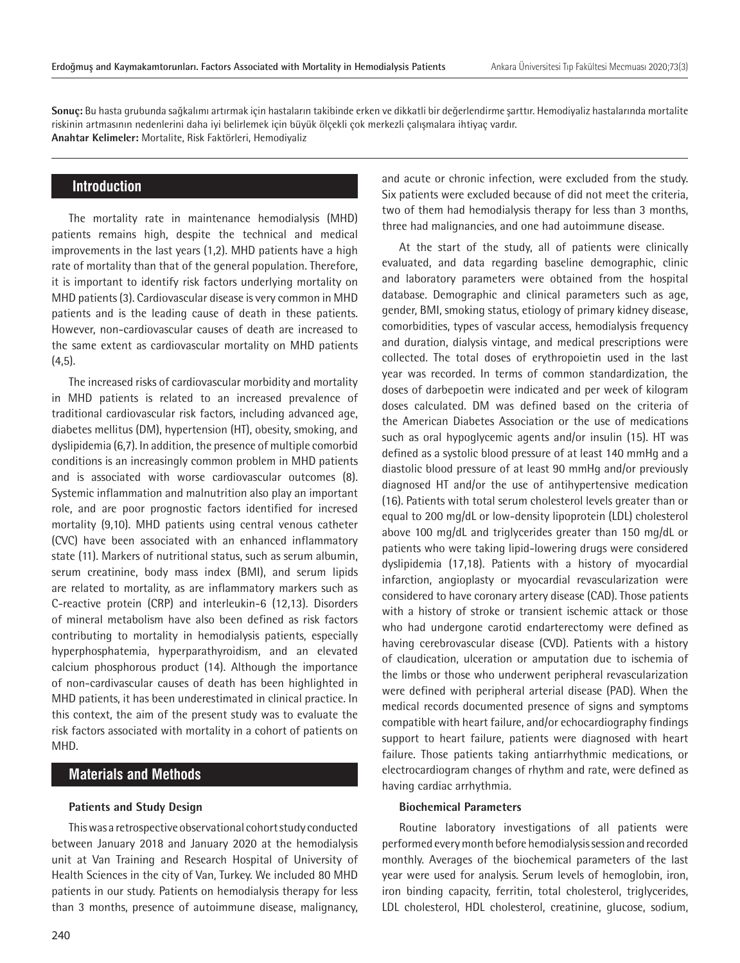**Sonuç:** Bu hasta grubunda sağkalımı artırmak için hastaların takibinde erken ve dikkatli bir değerlendirme şarttır. Hemodiyaliz hastalarında mortalite riskinin artmasının nedenlerini daha iyi belirlemek için büyük ölçekli çok merkezli çalışmalara ihtiyaç vardır. **Anahtar Kelimeler:** Mortalite, Risk Faktörleri, Hemodiyaliz

## **Introduction**

The mortality rate in maintenance hemodialysis (MHD) patients remains high, despite the technical and medical improvements in the last years (1,2). MHD patients have a high rate of mortality than that of the general population. Therefore, it is important to identify risk factors underlying mortality on MHD patients (3). Cardiovascular disease is very common in MHD patients and is the leading cause of death in these patients. However, non-cardiovascular causes of death are increased to the same extent as cardiovascular mortality on MHD patients  $(4,5)$ .

The increased risks of cardiovascular morbidity and mortality in MHD patients is related to an increased prevalence of traditional cardiovascular risk factors, including advanced age, diabetes mellitus (DM), hypertension (HT), obesity, smoking, and dyslipidemia (6,7). In addition, the presence of multiple comorbid conditions is an increasingly common problem in MHD patients and is associated with worse cardiovascular outcomes (8). Systemic inflammation and malnutrition also play an important role, and are poor prognostic factors identified for incresed mortality (9,10). MHD patients using central venous catheter (CVC) have been associated with an enhanced inflammatory state (11). Markers of nutritional status, such as serum albumin, serum creatinine, body mass index (BMI), and serum lipids are related to mortality, as are inflammatory markers such as C-reactive protein (CRP) and interleukin-6 (12,13). Disorders of mineral metabolism have also been defined as risk factors contributing to mortality in hemodialysis patients, especially hyperphosphatemia, hyperparathyroidism, and an elevated calcium phosphorous product (14). Although the importance of non-cardivascular causes of death has been highlighted in MHD patients, it has been underestimated in clinical practice. In this context, the aim of the present study was to evaluate the risk factors associated with mortality in a cohort of patients on MHD.

## **Materials and Methods**

#### **Patients and Study Design**

This was a retrospective observational cohort study conducted between January 2018 and January 2020 at the hemodialysis unit at Van Training and Research Hospital of University of Health Sciences in the city of Van, Turkey. We included 80 MHD patients in our study. Patients on hemodialysis therapy for less than 3 months, presence of autoimmune disease, malignancy,

and acute or chronic infection, were excluded from the study. Six patients were excluded because of did not meet the criteria, two of them had hemodialysis therapy for less than 3 months, three had malignancies, and one had autoimmune disease.

At the start of the study, all of patients were clinically evaluated, and data regarding baseline demographic, clinic and laboratory parameters were obtained from the hospital database. Demographic and clinical parameters such as age, gender, BMI, smoking status, etiology of primary kidney disease, comorbidities, types of vascular access, hemodialysis frequency and duration, dialysis vintage, and medical prescriptions were collected. The total doses of erythropoietin used in the last year was recorded. In terms of common standardization, the doses of darbepoetin were indicated and per week of kilogram doses calculated. DM was defined based on the criteria of the American Diabetes Association or the use of medications such as oral hypoglycemic agents and/or insulin (15). HT was defined as a systolic blood pressure of at least 140 mmHg and a diastolic blood pressure of at least 90 mmHg and/or previously diagnosed HT and/or the use of antihypertensive medication (16). Patients with total serum cholesterol levels greater than or equal to 200 mg/dL or low-density lipoprotein (LDL) cholesterol above 100 mg/dL and triglycerides greater than 150 mg/dL or patients who were taking lipid-lowering drugs were considered dyslipidemia (17,18). Patients with a history of myocardial infarction, angioplasty or myocardial revascularization were considered to have coronary artery disease (CAD). Those patients with a history of stroke or transient ischemic attack or those who had undergone carotid endarterectomy were defined as having cerebrovascular disease (CVD). Patients with a history of claudication, ulceration or amputation due to ischemia of the limbs or those who underwent peripheral revascularization were defined with peripheral arterial disease (PAD). When the medical records documented presence of signs and symptoms compatible with heart failure, and/or echocardiography findings support to heart failure, patients were diagnosed with heart failure. Those patients taking antiarrhythmic medications, or electrocardiogram changes of rhythm and rate, were defined as having cardiac arrhythmia.

## **Biochemical Parameters**

Routine laboratory investigations of all patients were performed every month before hemodialysis session and recorded monthly. Averages of the biochemical parameters of the last year were used for analysis. Serum levels of hemoglobin, iron, iron binding capacity, ferritin, total cholesterol, triglycerides, LDL cholesterol, HDL cholesterol, creatinine, glucose, sodium,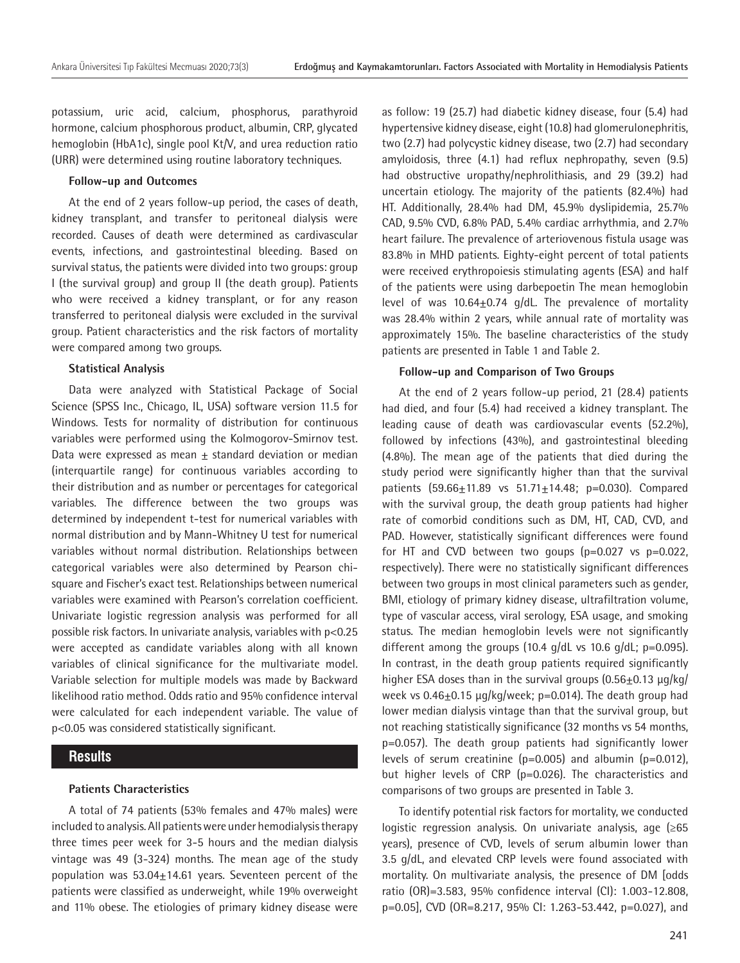potassium, uric acid, calcium, phosphorus, parathyroid hormone, calcium phosphorous product, albumin, CRP, glycated hemoglobin (HbA1c), single pool Kt/V, and urea reduction ratio (URR) were determined using routine laboratory techniques.

#### **Follow-up and Outcomes**

At the end of 2 years follow-up period, the cases of death, kidney transplant, and transfer to peritoneal dialysis were recorded. Causes of death were determined as cardivascular events, infections, and gastrointestinal bleeding. Based on survival status, the patients were divided into two groups: group I (the survival group) and group II (the death group). Patients who were received a kidney transplant, or for any reason transferred to peritoneal dialysis were excluded in the survival group. Patient characteristics and the risk factors of mortality were compared among two groups.

#### **Statistical Analysis**

Data were analyzed with Statistical Package of Social Science (SPSS Inc., Chicago, IL, USA) software version 11.5 for Windows. Tests for normality of distribution for continuous variables were performed using the Kolmogorov-Smirnov test. Data were expressed as mean  $\pm$  standard deviation or median (interquartile range) for continuous variables according to their distribution and as number or percentages for categorical variables. The difference between the two groups was determined by independent t-test for numerical variables with normal distribution and by Mann-Whitney U test for numerical variables without normal distribution. Relationships between categorical variables were also determined by Pearson chisquare and Fischer's exact test. Relationships between numerical variables were examined with Pearson's correlation coefficient. Univariate logistic regression analysis was performed for all possible risk factors. In univariate analysis, variables with p<0.25 were accepted as candidate variables along with all known variables of clinical significance for the multivariate model. Variable selection for multiple models was made by Backward likelihood ratio method. Odds ratio and 95% confidence interval were calculated for each independent variable. The value of p<0.05 was considered statistically significant.

## **Results**

#### **Patients Characteristics**

A total of 74 patients (53% females and 47% males) were included to analysis. All patients were under hemodialysis therapy three times peer week for 3-5 hours and the median dialysis vintage was 49 (3-324) months. The mean age of the study population was  $53.04 \pm 14.61$  years. Seventeen percent of the patients were classified as underweight, while 19% overweight and 11% obese. The etiologies of primary kidney disease were

as follow: 19 (25.7) had diabetic kidney disease, four (5.4) had hypertensive kidney disease, eight (10.8) had glomerulonephritis, two (2.7) had polycystic kidney disease, two (2.7) had secondary amyloidosis, three (4.1) had reflux nephropathy, seven (9.5) had obstructive uropathy/nephrolithiasis, and 29 (39.2) had uncertain etiology. The majority of the patients (82.4%) had HT. Additionally, 28.4% had DM, 45.9% dyslipidemia, 25.7% CAD, 9.5% CVD, 6.8% PAD, 5.4% cardiac arrhythmia, and 2.7% heart failure. The prevalence of arteriovenous fistula usage was 83.8% in MHD patients. Eighty-eight percent of total patients were received erythropoiesis stimulating agents (ESA) and half of the patients were using darbepoetin The mean hemoglobin level of was  $10.64 \pm 0.74$  g/dL. The prevalence of mortality was 28.4% within 2 years, while annual rate of mortality was approximately 15%. The baseline characteristics of the study patients are presented in Table 1 and Table 2.

#### **Follow-up and Comparison of Two Groups**

At the end of 2 years follow-up period, 21 (28.4) patients had died, and four (5.4) had received a kidney transplant. The leading cause of death was cardiovascular events (52.2%), followed by infections (43%), and gastrointestinal bleeding (4.8%). The mean age of the patients that died during the study period were significantly higher than that the survival patients  $(59.66 \pm 11.89 \text{ vs } 51.71 \pm 14.48; \text{ p} = 0.030)$ . Compared with the survival group, the death group patients had higher rate of comorbid conditions such as DM, HT, CAD, CVD, and PAD. However, statistically significant differences were found for HT and CVD between two goups  $(p=0.027 \text{ vs } p=0.022)$ , respectively). There were no statistically significant differences between two groups in most clinical parameters such as gender, BMI, etiology of primary kidney disease, ultrafiltration volume, type of vascular access, viral serology, ESA usage, and smoking status. The median hemoglobin levels were not significantly different among the groups  $(10.4 \text{ g/dL vs } 10.6 \text{ g/dL; } p=0.095)$ . In contrast, in the death group patients required significantly higher ESA doses than in the survival groups  $(0.56\pm0.13 \text{ µg/kg})$ week vs  $0.46\pm0.15$  µg/kg/week; p=0.014). The death group had lower median dialysis vintage than that the survival group, but not reaching statistically significance (32 months vs 54 months, p=0.057). The death group patients had significantly lower levels of serum creatinine (p=0.005) and albumin (p=0.012), but higher levels of CRP (p=0.026). The characteristics and comparisons of two groups are presented in Table 3.

To identify potential risk factors for mortality, we conducted logistic regression analysis. On univariate analysis, age (≥65 years), presence of CVD, levels of serum albumin lower than 3.5 g/dL, and elevated CRP levels were found associated with mortality. On multivariate analysis, the presence of DM [odds ratio (OR)=3.583, 95% confidence interval (CI): 1.003-12.808, p=0.05], CVD (OR=8.217, 95% CI: 1.263-53.442, p=0.027), and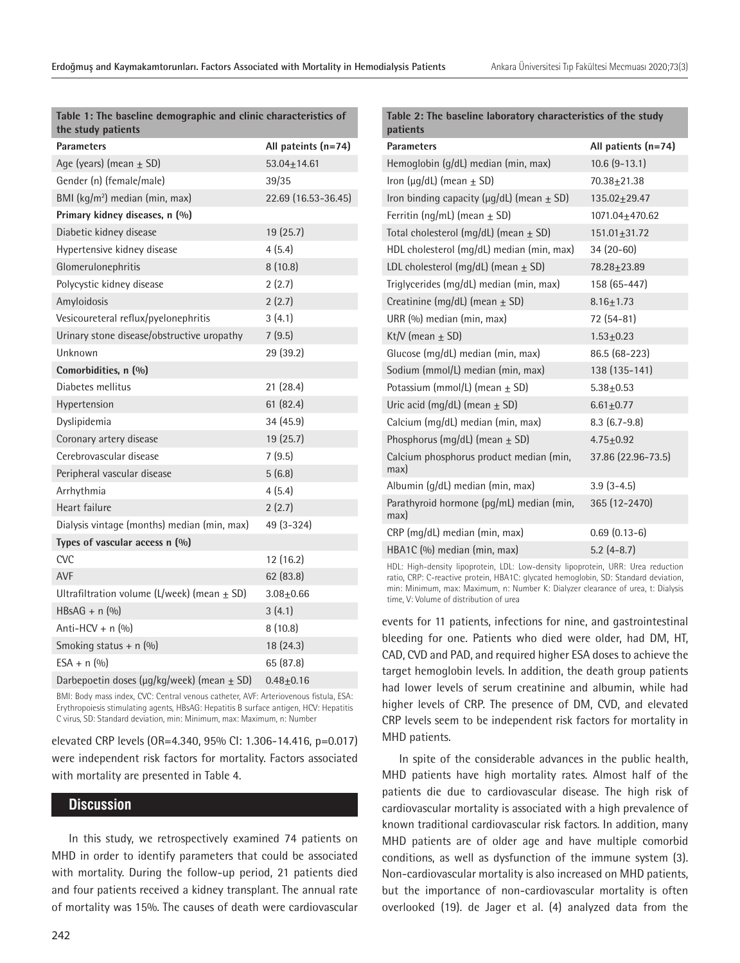| Table 1: The baseline demographic and clinic characteristics of<br>the study patients |                     |
|---------------------------------------------------------------------------------------|---------------------|
| <b>Parameters</b>                                                                     | All pateints (n=74) |
| Age (years) (mean $\pm$ SD)                                                           | 53.04±14.61         |
| Gender (n) (female/male)                                                              | 39/35               |
| BMI (kg/m <sup>2</sup> ) median (min, max)                                            | 22.69 (16.53-36.45) |
| Primary kidney diseases, n (%)                                                        |                     |
| Diabetic kidney disease                                                               | 19 (25.7)           |
| Hypertensive kidney disease                                                           | 4(5.4)              |
| Glomerulonephritis                                                                    | 8(10.8)             |
| Polycystic kidney disease                                                             | 2(2.7)              |
| Amyloidosis                                                                           | 2(2.7)              |
| Vesicoureteral reflux/pyelonephritis                                                  | 3(4.1)              |
| Urinary stone disease/obstructive uropathy                                            | 7(9.5)              |
| Unknown                                                                               | 29 (39.2)           |
| Comorbidities, n (%)                                                                  |                     |
| Diabetes mellitus                                                                     | 21 (28.4)           |
| Hypertension                                                                          | 61(82.4)            |
| Dyslipidemia                                                                          | 34 (45.9)           |
| Coronary artery disease                                                               | 19 (25.7)           |
| Cerebrovascular disease                                                               | 7(9.5)              |
| Peripheral vascular disease                                                           | 5(6.8)              |
| Arrhythmia                                                                            | 4(5.4)              |
| Heart failure                                                                         | 2(2.7)              |
| Dialysis vintage (months) median (min, max)                                           | 49 (3-324)          |
| Types of vascular access $n$ (%)                                                      |                     |
| <b>CVC</b>                                                                            | 12 (16.2)           |
| <b>AVF</b>                                                                            | 62 (83.8)           |
| Ultrafiltration volume (L/week) (mean $\pm$ SD)                                       | $3.08 + 0.66$       |
| HBsAG + $n$ (%)                                                                       | 3(4.1)              |
| Anti-HCV + $n$ (%)                                                                    | 8(10.8)             |
| Smoking status + $n$ (%)                                                              | 18 (24.3)           |
| $ESA + n$ (%)                                                                         | 65 (87.8)           |
| Darbepoetin doses (µg/kg/week) (mean ± SD)                                            | $0.48 + 0.16$       |
|                                                                                       |                     |

BMI: Body mass index, CVC: Central venous catheter, AVF: Arteriovenous fistula, ESA: Erythropoiesis stimulating agents, HBsAG: Hepatitis B surface antigen, HCV: Hepatitis C virus, SD: Standard deviation, min: Minimum, max: Maximum, n: Number

elevated CRP levels (OR=4.340, 95% CI: 1.306-14.416, p=0.017) were independent risk factors for mortality. Factors associated with mortality are presented in Table 4.

## **Discussion**

In this study, we retrospectively examined 74 patients on MHD in order to identify parameters that could be associated with mortality. During the follow-up period, 21 patients died and four patients received a kidney transplant. The annual rate of mortality was 15%. The causes of death were cardiovascular

| patients                                            |                     |
|-----------------------------------------------------|---------------------|
| <b>Parameters</b>                                   | All patients (n=74) |
| Hemoglobin (g/dL) median (min, max)                 | $10.6$ $(9-13.1)$   |
| Iron ( $\mu$ g/dL) (mean $\pm$ SD)                  | 70.38+21.38         |
| Iron binding capacity ( $\mu$ g/dL) (mean $\pm$ SD) | 135.02+29.47        |
| Ferritin (ng/mL) (mean $\pm$ SD)                    | 1071.04+470.62      |
| Total cholesterol (mg/dL) (mean $\pm$ SD)           | 151.01+31.72        |
| HDL cholesterol (mg/dL) median (min, max)           | $34(20-60)$         |
| LDL cholesterol (mg/dL) (mean $\pm$ SD)             | 78.28+23.89         |
| Triglycerides (mg/dL) median (min, max)             | 158 (65-447)        |
| Creatinine (mg/dL) (mean $\pm$ SD)                  | $8.16 + 1.73$       |
| URR (%) median (min, max)                           | 72 (54-81)          |
| Kt/V (mean $\pm$ SD)                                | $1.53 + 0.23$       |
| Glucose (mg/dL) median (min, max)                   | 86.5 (68-223)       |
| Sodium (mmol/L) median (min, max)                   | 138 (135-141)       |
| Potassium (mmol/L) (mean $+$ SD)                    | $5.38 + 0.53$       |
| Uric acid (mg/dL) (mean $\pm$ SD)                   | $6.61 \pm 0.77$     |
| Calcium (mg/dL) median (min, max)                   | $8.3(6.7-9.8)$      |
| Phosphorus (mg/dL) (mean $\pm$ SD)                  | $4.75 + 0.92$       |
| Calcium phosphorus product median (min,<br>max)     | 37.86 (22.96-73.5)  |
| Albumin (g/dL) median (min, max)                    | $3.9(3-4.5)$        |
| Parathyroid hormone (pg/mL) median (min,<br>max)    | 365 (12-2470)       |
| CRP (mg/dL) median (min, max)                       | $0.69(0.13-6)$      |
| HBA1C (%) median (min, max)                         | $5.2(4-8.7)$        |
|                                                     |                     |

**Table 2: The baseline laboratory characteristics of the study** 

HDL: High-density lipoprotein, LDL: Low-density lipoprotein, URR: Urea reduction ratio, CRP: C-reactive protein, HBA1C: glycated hemoglobin, SD: Standard deviation, min: Minimum, max: Maximum, n: Number K: Dialyzer clearance of urea, t: Dialysis time, V: Volume of distribution of urea

events for 11 patients, infections for nine, and gastrointestinal bleeding for one. Patients who died were older, had DM, HT, CAD, CVD and PAD, and required higher ESA doses to achieve the target hemoglobin levels. In addition, the death group patients had lower levels of serum creatinine and albumin, while had higher levels of CRP. The presence of DM, CVD, and elevated CRP levels seem to be independent risk factors for mortality in MHD patients.

In spite of the considerable advances in the public health, MHD patients have high mortality rates. Almost half of the patients die due to cardiovascular disease. The high risk of cardiovascular mortality is associated with a high prevalence of known traditional cardiovascular risk factors. In addition, many MHD patients are of older age and have multiple comorbid conditions, as well as dysfunction of the immune system (3). Non-cardiovascular mortality is also increased on MHD patients, but the importance of non-cardiovascular mortality is often overlooked (19). de Jager et al. (4) analyzed data from the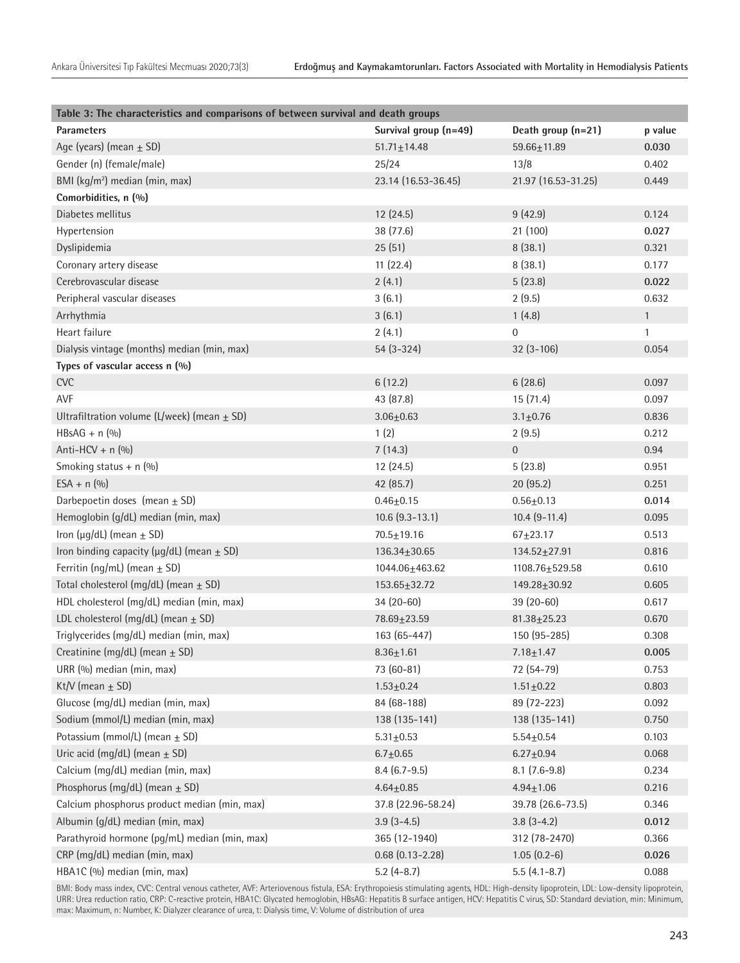| Table 3: The characteristics and comparisons of between survival and death groups |                        |                     |              |  |  |  |  |
|-----------------------------------------------------------------------------------|------------------------|---------------------|--------------|--|--|--|--|
| <b>Parameters</b>                                                                 | Survival group (n=49)  | Death group (n=21)  | p value      |  |  |  |  |
| Age (years) (mean $\pm$ SD)                                                       | $51.71 \pm 14.48$      | $59.66 + 11.89$     | 0.030        |  |  |  |  |
| Gender (n) (female/male)                                                          | 25/24                  | 13/8                | 0.402        |  |  |  |  |
| BMI (kg/m <sup>2</sup> ) median (min, max)                                        | 23.14 (16.53-36.45)    | 21.97 (16.53-31.25) | 0.449        |  |  |  |  |
| Comorbidities, n (%)                                                              |                        |                     |              |  |  |  |  |
| Diabetes mellitus                                                                 | 12 (24.5)              | 9(42.9)             | 0.124        |  |  |  |  |
| Hypertension                                                                      | 38 (77.6)              | 21 (100)            | 0.027        |  |  |  |  |
| Dyslipidemia                                                                      | 25(51)                 | 8(38.1)             | 0.321        |  |  |  |  |
| Coronary artery disease                                                           | 11(22.4)               | 8(38.1)             | 0.177        |  |  |  |  |
| Cerebrovascular disease                                                           | 2(4.1)                 | 5(23.8)             | 0.022        |  |  |  |  |
| Peripheral vascular diseases                                                      | 3(6.1)                 | 2(9.5)              | 0.632        |  |  |  |  |
| Arrhythmia                                                                        | 3(6.1)                 | 1(4.8)              | $\mathbf{1}$ |  |  |  |  |
| Heart failure                                                                     | 2(4.1)                 | $\boldsymbol{0}$    | $\mathbf{1}$ |  |  |  |  |
| Dialysis vintage (months) median (min, max)                                       | 54 (3-324)             | $32(3-106)$         | 0.054        |  |  |  |  |
| Types of vascular access n (%)                                                    |                        |                     |              |  |  |  |  |
| <b>CVC</b>                                                                        | 6(12.2)                | 6(28.6)             | 0.097        |  |  |  |  |
| AVF                                                                               | 43 (87.8)              | 15(71.4)            | 0.097        |  |  |  |  |
| Ultrafiltration volume (L/week) (mean $\pm$ SD)                                   | $3.06 + 0.63$          | $3.1 + 0.76$        | 0.836        |  |  |  |  |
| HBsAG + $n$ (%)                                                                   | 1(2)                   | 2(9.5)              | 0.212        |  |  |  |  |
| Anti-HCV + $n$ (%)                                                                | 7(14.3)                | $\boldsymbol{0}$    | 0.94         |  |  |  |  |
| Smoking status + $n$ (%)                                                          | 12 (24.5)              | 5(23.8)             | 0.951        |  |  |  |  |
| $ESA + n (0/0)$                                                                   | 42 (85.7)              | 20 (95.2)           | 0.251        |  |  |  |  |
| Darbepoetin doses (mean $\pm$ SD)                                                 | $0.46 + 0.15$          | $0.56 + 0.13$       | 0.014        |  |  |  |  |
| Hemoglobin (g/dL) median (min, max)                                               | $10.6$ $(9.3 - 13.1)$  | $10.4$ (9-11.4)     | 0.095        |  |  |  |  |
| Iron ( $\mu$ g/dL) (mean $\pm$ SD)                                                | $70.5 \pm 19.16$       | $67+23.17$          | 0.513        |  |  |  |  |
| Iron binding capacity ( $\mu$ g/dL) (mean $\pm$ SD)                               | 136.34±30.65           | $134.52 \pm 27.91$  | 0.816        |  |  |  |  |
| Ferritin (ng/mL) (mean $\pm$ SD)                                                  | 1044.06±463.62         | 1108.76±529.58      | 0.610        |  |  |  |  |
| Total cholesterol (mg/dL) (mean $\pm$ SD)                                         | $153.65 \pm 32.72$     | 149.28±30.92        | 0.605        |  |  |  |  |
| HDL cholesterol (mg/dL) median (min, max)                                         | 34 (20-60)             | $39(20-60)$         | 0.617        |  |  |  |  |
| LDL cholesterol (mg/dL) (mean $\pm$ SD)                                           | 78.69±23.59            | $81.38 \pm 25.23$   | 0.670        |  |  |  |  |
| Triglycerides (mg/dL) median (min, max)                                           | 163 (65-447)           | 150 (95-285)        | 0.308        |  |  |  |  |
| Creatinine (mg/dL) (mean $\pm$ SD)                                                | $8.36 + 1.61$          | $7.18 + 1.47$       | 0.005        |  |  |  |  |
| URR (%) median (min, max)                                                         | 73 (60-81)             | 72 (54-79)          | 0.753        |  |  |  |  |
| Kt/V (mean $\pm$ SD)                                                              | $1.53 + 0.24$          | $1.51 \pm 0.22$     | 0.803        |  |  |  |  |
| Glucose (mg/dL) median (min, max)                                                 | 84 (68-188)            | 89 (72-223)         | 0.092        |  |  |  |  |
| Sodium (mmol/L) median (min, max)                                                 | 138 (135-141)          | 138 (135-141)       | 0.750        |  |  |  |  |
| Potassium (mmol/L) (mean $\pm$ SD)                                                | $5.31 \pm 0.53$        | $5.54 + 0.54$       | 0.103        |  |  |  |  |
| Uric acid (mg/dL) (mean $\pm$ SD)                                                 | $6.7 + 0.65$           | $6.27 + 0.94$       | 0.068        |  |  |  |  |
| Calcium (mg/dL) median (min, max)                                                 | $8.4(6.7-9.5)$         | $8.1(7.6-9.8)$      | 0.234        |  |  |  |  |
| Phosphorus (mg/dL) (mean $\pm$ SD)                                                | $4.64 \pm 0.85$        | $4.94 \pm 1.06$     | 0.216        |  |  |  |  |
| Calcium phosphorus product median (min, max)                                      | 37.8 (22.96-58.24)     | 39.78 (26.6-73.5)   | 0.346        |  |  |  |  |
| Albumin (g/dL) median (min, max)                                                  | $3.9(3-4.5)$           | $3.8(3-4.2)$        | 0.012        |  |  |  |  |
| Parathyroid hormone (pg/mL) median (min, max)                                     | 365 (12-1940)          | 312 (78-2470)       | 0.366        |  |  |  |  |
| CRP (mg/dL) median (min, max)                                                     | $0.68$ $(0.13 - 2.28)$ | $1.05(0.2-6)$       | 0.026        |  |  |  |  |
| HBA1C (%) median (min, max)                                                       | $5.2(4-8.7)$           | $5.5(4.1 - 8.7)$    | 0.088        |  |  |  |  |

BMI: Body mass index, CVC: Central venous catheter, AVF: Arteriovenous fistula, ESA: Erythropoiesis stimulating agents, HDL: High-density lipoprotein, LDL: Low-density lipoprotein, URR: Urea reduction ratio, CRP: C-reactive protein, HBA1C: Glycated hemoglobin, HBsAG: Hepatitis B surface antigen, HCV: Hepatitis C virus, SD: Standard deviation, min: Minimum, max: Maximum, n: Number, K: Dialyzer clearance of urea, t: Dialysis time, V: Volume of distribution of urea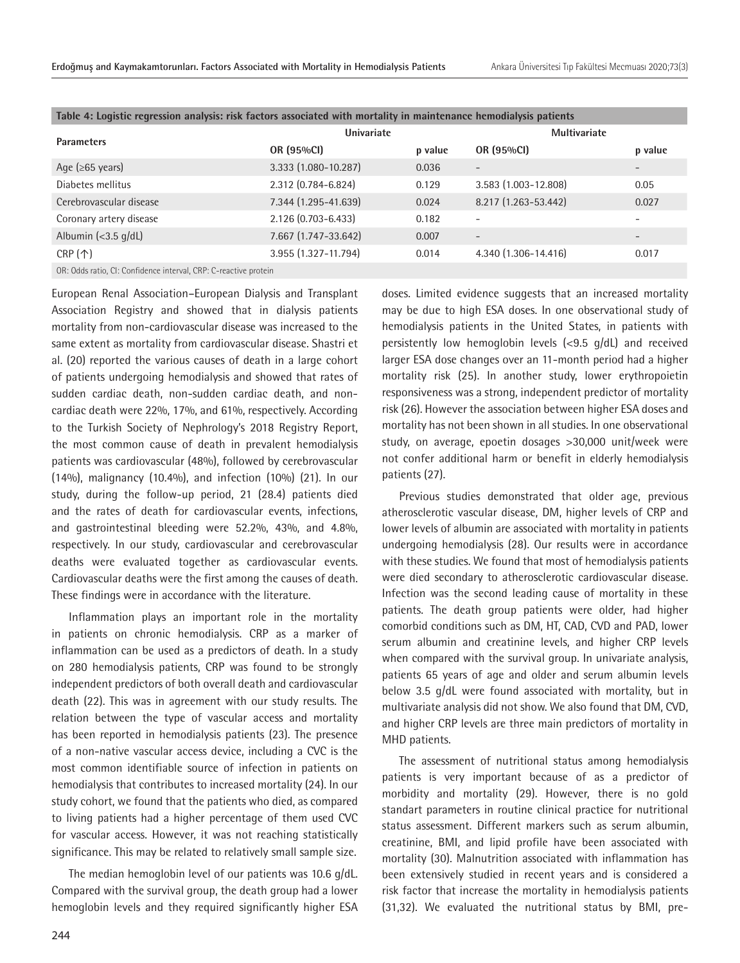| Table 4: Logistic regression analysis: risk factors associated with mortality in maintenance hemodialysis patients |                      |         |                          |         |  |  |  |
|--------------------------------------------------------------------------------------------------------------------|----------------------|---------|--------------------------|---------|--|--|--|
| <b>Parameters</b>                                                                                                  | Univariate           |         | <b>Multivariate</b>      |         |  |  |  |
|                                                                                                                    | OR (95%CI)           | p value | OR (95%CI)               | p value |  |  |  |
| Age ( $\geq 65$ years)                                                                                             | 3.333 (1.080-10.287) | 0.036   | $\overline{\phantom{0}}$ |         |  |  |  |
| Diabetes mellitus                                                                                                  | 2.312 (0.784-6.824)  | 0.129   | 3.583 (1.003-12.808)     | 0.05    |  |  |  |
| Cerebrovascular disease                                                                                            | 7.344 (1.295-41.639) | 0.024   | 8.217 (1.263-53.442)     | 0.027   |  |  |  |
| Coronary artery disease                                                                                            | 2.126 (0.703-6.433)  | 0.182   | ۰                        |         |  |  |  |
| Albumin $\left( <3.5 \right)$ g/dL)                                                                                | 7.667 (1.747-33.642) | 0.007   | $\overline{\phantom{a}}$ |         |  |  |  |
| $CRP(\uparrow)$                                                                                                    | 3.955 (1.327-11.794) | 0.014   | 4.340 (1.306-14.416)     | 0.017   |  |  |  |
| OR: Odds ratio, CI: Confidence interval, CRP: C-reactive protein                                                   |                      |         |                          |         |  |  |  |

European Renal Association–European Dialysis and Transplant Association Registry and showed that in dialysis patients mortality from non-cardiovascular disease was increased to the same extent as mortality from cardiovascular disease. Shastri et al. (20) reported the various causes of death in a large cohort of patients undergoing hemodialysis and showed that rates of sudden cardiac death, non-sudden cardiac death, and noncardiac death were 22%, 17%, and 61%, respectively. According to the Turkish Society of Nephrology's 2018 Registry Report, the most common cause of death in prevalent hemodialysis patients was cardiovascular (48%), followed by cerebrovascular (14%), malignancy (10.4%), and infection (10%) (21). In our study, during the follow-up period, 21 (28.4) patients died and the rates of death for cardiovascular events, infections, and gastrointestinal bleeding were 52.2%, 43%, and 4.8%, respectively. In our study, cardiovascular and cerebrovascular deaths were evaluated together as cardiovascular events. Cardiovascular deaths were the first among the causes of death. These findings were in accordance with the literature.

Inflammation plays an important role in the mortality in patients on chronic hemodialysis. CRP as a marker of inflammation can be used as a predictors of death. In a study on 280 hemodialysis patients, CRP was found to be strongly independent predictors of both overall death and cardiovascular death (22). This was in agreement with our study results. The relation between the type of vascular access and mortality has been reported in hemodialysis patients (23). The presence of a non-native vascular access device, including a CVC is the most common identifiable source of infection in patients on hemodialysis that contributes to increased mortality (24). In our study cohort, we found that the patients who died, as compared to living patients had a higher percentage of them used CVC for vascular access. However, it was not reaching statistically significance. This may be related to relatively small sample size.

The median hemoglobin level of our patients was 10.6 g/dL. Compared with the survival group, the death group had a lower hemoglobin levels and they required significantly higher ESA

244

doses. Limited evidence suggests that an increased mortality may be due to high ESA doses. In one observational study of hemodialysis patients in the United States, in patients with persistently low hemoglobin levels (<9.5 g/dL) and received larger ESA dose changes over an 11-month period had a higher mortality risk (25). In another study, lower erythropoietin responsiveness was a strong, independent predictor of mortality risk (26). However the association between higher ESA doses and mortality has not been shown in all studies. In one observational study, on average, epoetin dosages >30,000 unit/week were not confer additional harm or benefit in elderly hemodialysis patients (27).

Previous studies demonstrated that older age, previous atherosclerotic vascular disease, DM, higher levels of CRP and lower levels of albumin are associated with mortality in patients undergoing hemodialysis (28). Our results were in accordance with these studies. We found that most of hemodialysis patients were died secondary to atherosclerotic cardiovascular disease. Infection was the second leading cause of mortality in these patients. The death group patients were older, had higher comorbid conditions such as DM, HT, CAD, CVD and PAD, lower serum albumin and creatinine levels, and higher CRP levels when compared with the survival group. In univariate analysis, patients 65 years of age and older and serum albumin levels below 3.5 g/dL were found associated with mortality, but in multivariate analysis did not show. We also found that DM, CVD, and higher CRP levels are three main predictors of mortality in MHD patients.

The assessment of nutritional status among hemodialysis patients is very important because of as a predictor of morbidity and mortality (29). However, there is no gold standart parameters in routine clinical practice for nutritional status assessment. Different markers such as serum albumin, creatinine, BMI, and lipid profile have been associated with mortality (30). Malnutrition associated with inflammation has been extensively studied in recent years and is considered a risk factor that increase the mortality in hemodialysis patients (31,32). We evaluated the nutritional status by BMI, pre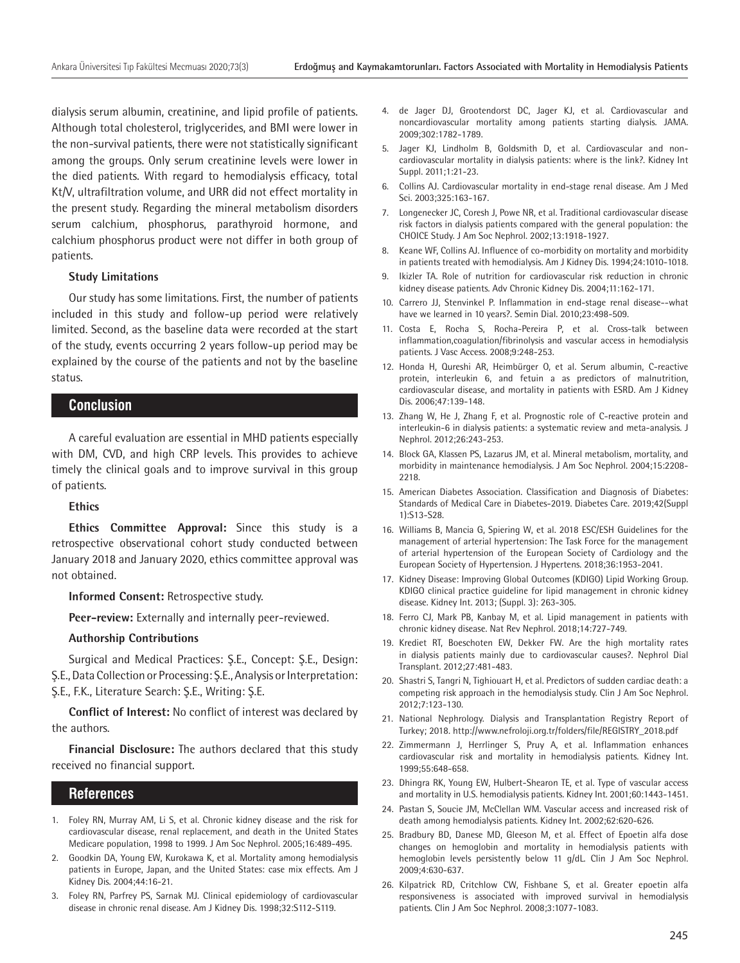dialysis serum albumin, creatinine, and lipid profile of patients. Although total cholesterol, triglycerides, and BMI were lower in the non-survival patients, there were not statistically significant among the groups. Only serum creatinine levels were lower in the died patients. With regard to hemodialysis efficacy, total Kt/V, ultrafiltration volume, and URR did not effect mortality in the present study. Regarding the mineral metabolism disorders serum calchium, phosphorus, parathyroid hormone, and calchium phosphorus product were not differ in both group of patients.

#### **Study Limitations**

Our study has some limitations. First, the number of patients included in this study and follow-up period were relatively limited. Second, as the baseline data were recorded at the start of the study, events occurring 2 years follow-up period may be explained by the course of the patients and not by the baseline status.

## **Conclusion**

A careful evaluation are essential in MHD patients especially with DM, CVD, and high CRP levels. This provides to achieve timely the clinical goals and to improve survival in this group of patients.

#### **Ethics**

**Ethics Committee Approval:** Since this study is a retrospective observational cohort study conducted between January 2018 and January 2020, ethics committee approval was not obtained.

**Informed Consent:** Retrospective study.

**Peer-review:** Externally and internally peer-reviewed.

#### **Authorship Contributions**

Surgical and Medical Practices: Ş.E., Concept: Ş.E., Design: Ş.E., Data Collection or Processing: Ş.E., Analysis or Interpretation: Ş.E., F.K., Literature Search: Ş.E., Writing: Ş.E.

**Conflict of Interest:** No conflict of interest was declared by the authors.

**Financial Disclosure:** The authors declared that this study received no financial support.

## **References**

- 1. Foley RN, Murray AM, Li S, et al. Chronic kidney disease and the risk for cardiovascular disease, renal replacement, and death in the United States Medicare population, 1998 to 1999. J Am Soc Nephrol. 2005;16:489-495.
- 2. Goodkin DA, Young EW, Kurokawa K, et al. Mortality among hemodialysis patients in Europe, Japan, and the United States: case mix effects. Am J Kidney Dis. 2004;44:16-21.
- 3. Foley RN, Parfrey PS, Sarnak MJ. Clinical epidemiology of cardiovascular disease in chronic renal disease. Am J Kidney Dis. 1998;32:S112-S119.
- 4. de Jager DJ, Grootendorst DC, Jager KJ, et al. Cardiovascular and noncardiovascular mortality among patients starting dialysis. JAMA. 2009;302:1782-1789.
- 5. Jager KJ, Lindholm B, Goldsmith D, et al. Cardiovascular and noncardiovascular mortality in dialysis patients: where is the link?. Kidney Int Suppl. 2011;1:21-23.
- 6. Collins AJ. Cardiovascular mortality in end-stage renal disease. Am J Med Sci. 2003;325:163-167.
- 7. Longenecker JC, Coresh J, Powe NR, et al. Traditional cardiovascular disease risk factors in dialysis patients compared with the general population: the CHOICE Study. J Am Soc Nephrol. 2002;13:1918-1927.
- 8. Keane WF, Collins AJ. Influence of co-morbidity on mortality and morbidity in patients treated with hemodialysis. Am J Kidney Dis. 1994;24:1010-1018.
- 9. Ikizler TA. Role of nutrition for cardiovascular risk reduction in chronic kidney disease patients. Adv Chronic Kidney Dis. 2004;11:162-171.
- 10. Carrero JJ, Stenvinkel P. Inflammation in end-stage renal disease--what have we learned in 10 years?. Semin Dial. 2010;23:498-509.
- 11. Costa E, Rocha S, Rocha-Pereira P, et al. Cross-talk between inflammation,coagulation/fibrinolysis and vascular access in hemodialysis patients. J Vasc Access. 2008;9:248-253.
- 12. Honda H, Qureshi AR, Heimbürger O, et al. Serum albumin, C-reactive protein, interleukin 6, and fetuin a as predictors of malnutrition, cardiovascular disease, and mortality in patients with ESRD. Am J Kidney Dis. 2006;47:139-148.
- 13. Zhang W, He J, Zhang F, et al. Prognostic role of C-reactive protein and interleukin-6 in dialysis patients: a systematic review and meta-analysis. J Nephrol. 2012;26:243-253.
- 14. Block GA, Klassen PS, Lazarus JM, et al. Mineral metabolism, mortality, and morbidity in maintenance hemodialysis. J Am Soc Nephrol. 2004;15:2208- 2218.
- 15. American Diabetes Association. Classification and Diagnosis of Diabetes: Standards of Medical Care in Diabetes-2019. Diabetes Care. 2019;42(Suppl 1):S13-S28.
- 16. Williams B, Mancia G, Spiering W, et al. 2018 ESC/ESH Guidelines for the management of arterial hypertension: The Task Force for the management of arterial hypertension of the European Society of Cardiology and the European Society of Hypertension. J Hypertens. 2018;36:1953-2041.
- 17. Kidney Disease: Improving Global Outcomes (KDIGO) Lipid Working Group. KDIGO clinical practice guideline for lipid management in chronic kidney disease. Kidney Int. 2013; (Suppl. 3): 263-305.
- 18. Ferro CJ, Mark PB, Kanbay M, et al. Lipid management in patients with chronic kidney disease. Nat Rev Nephrol. 2018;14:727-749.
- 19. Krediet RT, Boeschoten EW, Dekker FW. Are the high mortality rates in dialysis patients mainly due to cardiovascular causes?. Nephrol Dial Transplant. 2012;27:481-483.
- 20. Shastri S, Tangri N, Tighiouart H, et al. Predictors of sudden cardiac death: a competing risk approach in the hemodialysis study. Clin J Am Soc Nephrol. 2012;7:123-130.
- 21. National Nephrology. Dialysis and Transplantation Registry Report of Turkey; 2018. http://www.nefroloji.org.tr/folders/file/REGISTRY\_2018.pdf
- 22. Zimmermann J, Herrlinger S, Pruy A, et al. Inflammation enhances cardiovascular risk and mortality in hemodialysis patients. Kidney Int. 1999;55:648-658.
- 23. Dhingra RK, Young EW, Hulbert-Shearon TE, et al. Type of vascular access and mortality in U.S. hemodialysis patients. Kidney Int. 2001;60:1443-1451.
- 24. Pastan S, Soucie JM, McClellan WM. Vascular access and increased risk of death among hemodialysis patients. Kidney Int. 2002;62:620-626.
- 25. Bradbury BD, Danese MD, Gleeson M, et al. Effect of Epoetin alfa dose changes on hemoglobin and mortality in hemodialysis patients with hemoglobin levels persistently below 11 g/dL. Clin J Am Soc Nephrol. 2009;4:630-637.
- 26. Kilpatrick RD, Critchlow CW, Fishbane S, et al. Greater epoetin alfa responsiveness is associated with improved survival in hemodialysis patients. Clin J Am Soc Nephrol. 2008;3:1077-1083.